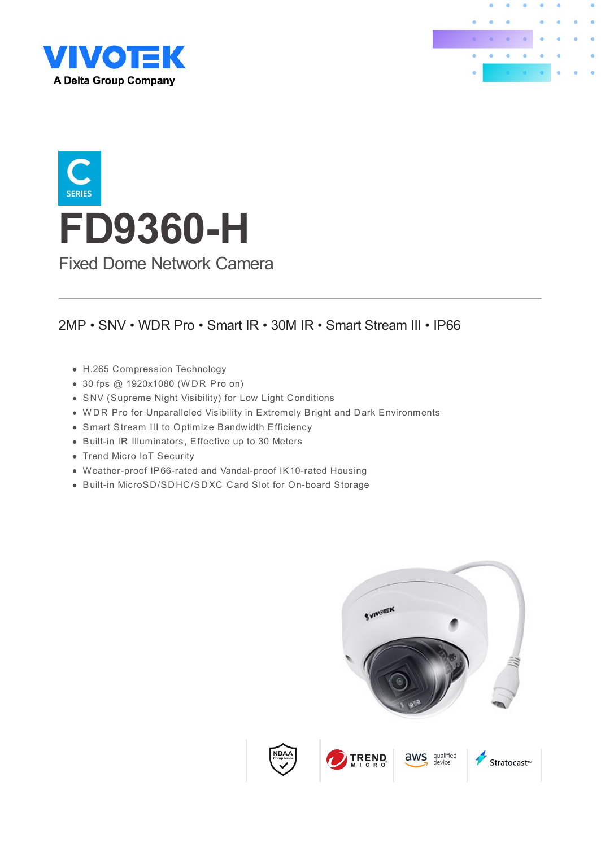





### 2MP • SNV • WDR Pro • Smart IR • 30M IR • Smart Stream III • IP66

- H.265 Compression Technology
- 30 fps @ 1920x1080 (W DR Pro on)
- SNV (Supreme Night Visibility) for Low Light Conditions
- W DR Pro for Unparalleled Visibility in Extremely Bright and Dark Environments
- Smart Stream III to Optimize Bandwidth Efficiency
- Built-in IR Illuminators, Effective up to 30 Meters
- Trend Micro IoT Security
- Weather-proof IP66-rated and Vandal-proof IK10-rated Housing
- Built-in MicroSD/SDHC/SDXC Card Slot for On-board Storage

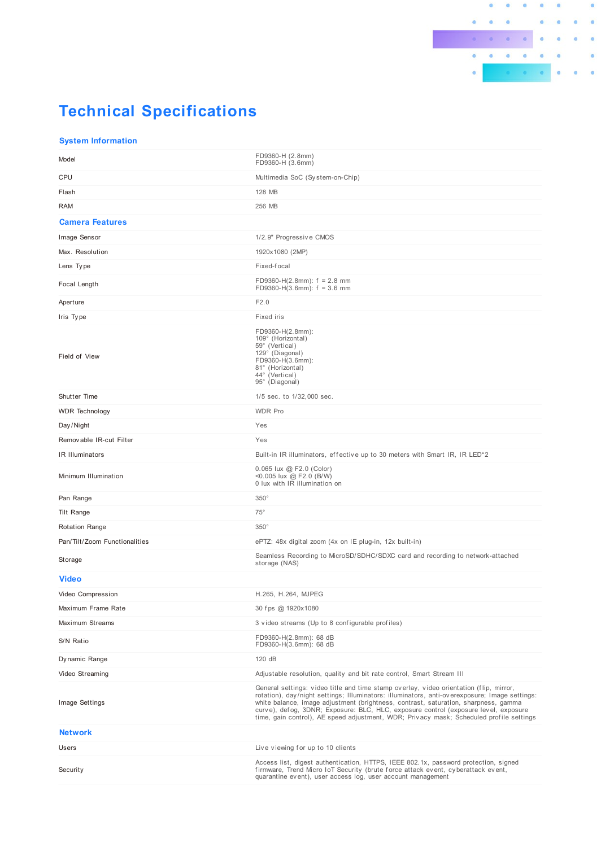

# **Technical Specifications**

#### **System Information**

| Model                         | FD9360-H (2.8mm)<br>FD9360-H (3.6mm)                                                                                                                                                                                                                                                                                                                                                                                                                             |
|-------------------------------|------------------------------------------------------------------------------------------------------------------------------------------------------------------------------------------------------------------------------------------------------------------------------------------------------------------------------------------------------------------------------------------------------------------------------------------------------------------|
| <b>CPU</b>                    | Multimedia SoC (System-on-Chip)                                                                                                                                                                                                                                                                                                                                                                                                                                  |
| Flash                         | 128 MB                                                                                                                                                                                                                                                                                                                                                                                                                                                           |
| RAM                           | 256 MB                                                                                                                                                                                                                                                                                                                                                                                                                                                           |
| <b>Camera Features</b>        |                                                                                                                                                                                                                                                                                                                                                                                                                                                                  |
| Image Sensor                  | 1/2.9" Progressive CMOS                                                                                                                                                                                                                                                                                                                                                                                                                                          |
| Max. Resolution               | 1920x1080 (2MP)                                                                                                                                                                                                                                                                                                                                                                                                                                                  |
| Lens Type                     | Fixed-focal                                                                                                                                                                                                                                                                                                                                                                                                                                                      |
| Focal Length                  | FD9360-H(2.8mm): $f = 2.8$ mm<br>FD9360-H(3.6mm): $f = 3.6$ mm                                                                                                                                                                                                                                                                                                                                                                                                   |
| Aperture                      | F2.0                                                                                                                                                                                                                                                                                                                                                                                                                                                             |
| Iris Type                     | Fixed iris                                                                                                                                                                                                                                                                                                                                                                                                                                                       |
| Field of View                 | FD9360-H(2.8mm):<br>109° (Horizontal)<br>59° (Vertical)<br>129° (Diagonal)<br>FD9360-H(3.6mm):<br>81° (Horizontal)<br>44° (Vertical)<br>95° (Diagonal)                                                                                                                                                                                                                                                                                                           |
| Shutter Time                  | 1/5 sec. to 1/32,000 sec.                                                                                                                                                                                                                                                                                                                                                                                                                                        |
| <b>WDR</b> Technology         | <b>WDR Pro</b>                                                                                                                                                                                                                                                                                                                                                                                                                                                   |
| Day/Night                     | Yes                                                                                                                                                                                                                                                                                                                                                                                                                                                              |
| Removable IR-cut Filter       | Yes                                                                                                                                                                                                                                                                                                                                                                                                                                                              |
| IR Illuminators               | Built-in IR illuminators, effective up to 30 meters with Smart IR, IR LED <sup>*2</sup>                                                                                                                                                                                                                                                                                                                                                                          |
| Minimum Illumination          | 0.065 lux @ F2.0 (Color)<br><0.005 lux @ F2.0 (B/W)<br>0 lux with IR illumination on                                                                                                                                                                                                                                                                                                                                                                             |
| Pan Range                     | $350^\circ$                                                                                                                                                                                                                                                                                                                                                                                                                                                      |
| Tilt Range                    | $75^{\circ}$                                                                                                                                                                                                                                                                                                                                                                                                                                                     |
| <b>Rotation Range</b>         | $350^\circ$                                                                                                                                                                                                                                                                                                                                                                                                                                                      |
| Pan/Tilt/Zoom Functionalities | ePTZ: 48x digital zoom (4x on IE plug-in, 12x built-in)                                                                                                                                                                                                                                                                                                                                                                                                          |
| Storage                       | Seamless Recording to MicroSD/SDHC/SDXC card and recording to network-attached<br>storage (NAS)                                                                                                                                                                                                                                                                                                                                                                  |
| <b>Video</b>                  |                                                                                                                                                                                                                                                                                                                                                                                                                                                                  |
| Video Compression             | H.265, H.264, MJPEG                                                                                                                                                                                                                                                                                                                                                                                                                                              |
| Maximum Frame Rate            | 30 fps @ 1920x1080                                                                                                                                                                                                                                                                                                                                                                                                                                               |
| Maximum Streams               | 3 video streams (Up to 8 configurable profiles)                                                                                                                                                                                                                                                                                                                                                                                                                  |
| S/N Ratio                     | FD9360-H(2.8mm): 68 dB<br>FD9360-H(3.6mm): 68 dB                                                                                                                                                                                                                                                                                                                                                                                                                 |
| Dynamic Range                 | 120 dB                                                                                                                                                                                                                                                                                                                                                                                                                                                           |
| Video Streaming               | Adjustable resolution, quality and bit rate control, Smart Stream III                                                                                                                                                                                                                                                                                                                                                                                            |
| Image Settings                | General settings: video title and time stamp overlay, video orientation (flip, mirror,<br>rotation), day/night settings; Illuminators: illuminators, anti-overexposure; Image settings:<br>white balance, image adjustment (brightness, contrast, saturation, sharpness, gamma<br>curve), defog, 3DNR; Exposure: BLC, HLC, exposure control (exposure level, exposure<br>time, gain control), AE speed adjustment, WDR; Privacy mask; Scheduled profile settings |
| <b>Network</b>                |                                                                                                                                                                                                                                                                                                                                                                                                                                                                  |
| Users                         | Live viewing for up to 10 clients                                                                                                                                                                                                                                                                                                                                                                                                                                |
| Security                      | Access list, digest authentication, HTTPS, IEEE 802.1x, password protection, signed<br>firmware, Trend Micro IoT Security (brute force attack event, cyberattack event,<br>quarantine event), user access log, user account management                                                                                                                                                                                                                           |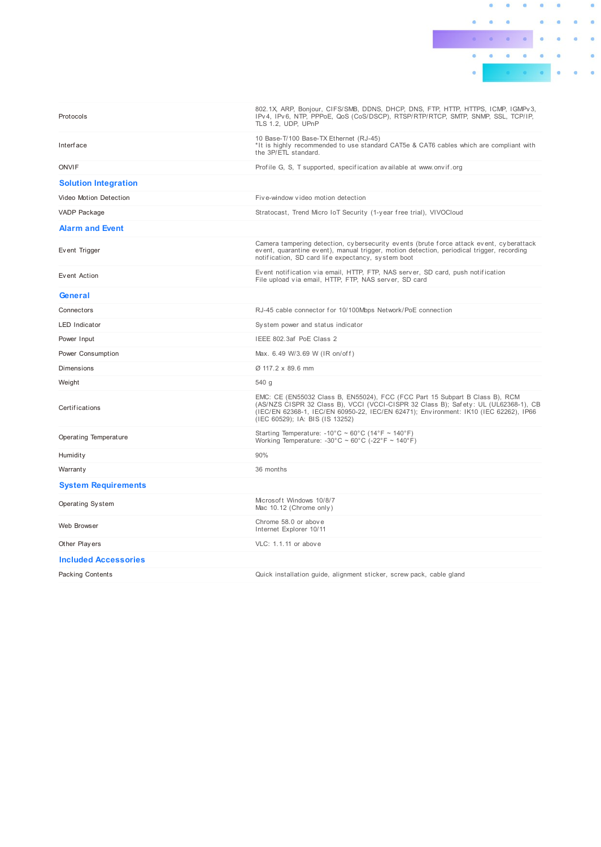

| Protocols                   | 802.1X, ARP, Bonjour, CIFS/SMB, DDNS, DHCP, DNS, FTP, HTTP, HTTPS, ICMP, IGMPv3,<br>IPv4, IPv6, NTP, PPPoE, QoS (CoS/DSCP), RTSP/RTP/RTCP, SMTP, SNMP, SSL, TCP/IP,<br>TLS 1.2, UDP, UPnP                                                                                                      |
|-----------------------------|------------------------------------------------------------------------------------------------------------------------------------------------------------------------------------------------------------------------------------------------------------------------------------------------|
| <b>Interface</b>            | 10 Base-T/100 Base-TX Ethernet (RJ-45)<br>*It is highly recommended to use standard CAT5e & CAT6 cables which are compliant with<br>the 3P/ETL standard.                                                                                                                                       |
| <b>ONVIF</b>                | Profile G, S, T supported, specification available at www.onvif.org                                                                                                                                                                                                                            |
| <b>Solution Integration</b> |                                                                                                                                                                                                                                                                                                |
| Video Motion Detection      | Five-window video motion detection                                                                                                                                                                                                                                                             |
| <b>VADP Package</b>         | Stratocast, Trend Micro IoT Security (1-year free trial), VIVOCloud                                                                                                                                                                                                                            |
| <b>Alarm and Event</b>      |                                                                                                                                                                                                                                                                                                |
| Event Trigger               | Camera tampering detection, cybersecurity events (brute force attack event, cyberattack<br>event, quarantine event), manual trigger, motion detection, periodical trigger, recording<br>notification, SD card life expectancy, system boot                                                     |
| Event Action                | Event notification via email, HTTP, FTP, NAS server, SD card, push notification<br>File upload via email, HTTP, FTP, NAS server, SD card                                                                                                                                                       |
| General                     |                                                                                                                                                                                                                                                                                                |
| Connectors                  | RJ-45 cable connector for 10/100Mbps Network/PoE connection                                                                                                                                                                                                                                    |
| <b>LED Indicator</b>        | System power and status indicator                                                                                                                                                                                                                                                              |
| Power Input                 | IEEE 802.3af PoE Class 2                                                                                                                                                                                                                                                                       |
| Power Consumption           | Max. 6.49 W/3.69 W (IR on/off)                                                                                                                                                                                                                                                                 |
| <b>Dimensions</b>           | Ø 117.2 x 89.6 mm                                                                                                                                                                                                                                                                              |
| Weight                      | 540 g                                                                                                                                                                                                                                                                                          |
| Certifications              | EMC: CE (EN55032 Class B, EN55024), FCC (FCC Part 15 Subpart B Class B), RCM<br>(AS/NZS CISPR 32 Class B), VCCI (VCCI-CISPR 32 Class B); Safety: UL (UL62368-1), CB<br>(IEC/EN 62368-1, IEC/EN 60950-22, IEC/EN 62471); Environment: IK10 (IEC 62262), IP66<br>(IEC 60529); IA: BIS (IS 13252) |
| Operating Temperature       | Starting Temperature: -10°C ~ 60°C (14°F ~ 140°F)<br>Working Temperature: -30°C ~ 60°C (-22°F ~ 140°F)                                                                                                                                                                                         |
| Humidity                    | 90%                                                                                                                                                                                                                                                                                            |
| Warranty                    | 36 months                                                                                                                                                                                                                                                                                      |
| <b>System Requirements</b>  |                                                                                                                                                                                                                                                                                                |
| Operating System            | Microsoft Windows 10/8/7<br>Mac 10.12 (Chrome only)                                                                                                                                                                                                                                            |
| Web Browser                 | Chrome 58.0 or above<br>Internet Explorer 10/11                                                                                                                                                                                                                                                |
| Other Players               | VLC: 1.1.11 or above                                                                                                                                                                                                                                                                           |
| <b>Included Accessories</b> |                                                                                                                                                                                                                                                                                                |
| <b>Packing Contents</b>     | Quick installation guide, alignment sticker, screw pack, cable gland                                                                                                                                                                                                                           |